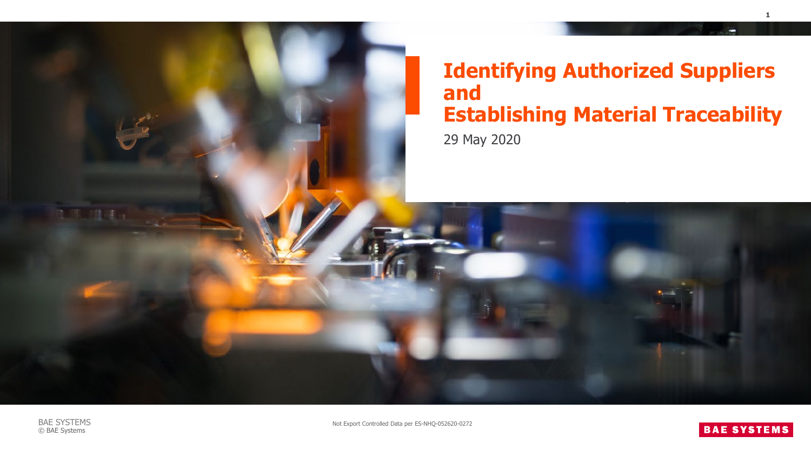



Not Export Controlled Data per ES-NHQ-052620-0272

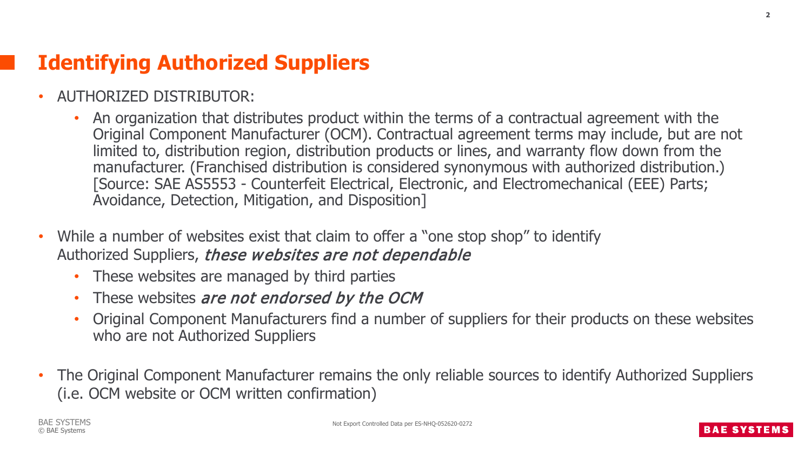## **Identifying Authorized Suppliers**

- AUTHORIZED DISTRIBUTOR:
	- An organization that distributes product within the terms of a contractual agreement with the Original Component Manufacturer (OCM). Contractual agreement terms may include, but are not limited to, distribution region, distribution products or lines, and warranty flow down from the manufacturer. (Franchised distribution is considered synonymous with authorized distribution.) [Source: SAE AS5553 - Counterfeit Electrical, Electronic, and Electromechanical (EEE) Parts; Avoidance, Detection, Mitigation, and Disposition]
- While a number of websites exist that claim to offer a "one stop shop" to identify Authorized Suppliers, these websites are not dependable
	- These websites are managed by third parties
	- These websites are not endorsed by the OCM
	- Original Component Manufacturers find a number of suppliers for their products on these websites who are not Authorized Suppliers
- The Original Component Manufacturer remains the only reliable sources to identify Authorized Suppliers (i.e. OCM website or OCM written confirmation)